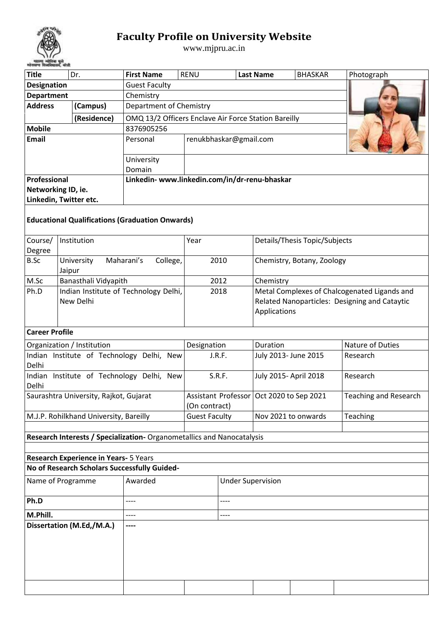

## **Faculty Profile on University Website**

www.mjpru.ac.in

| <b>Title</b><br>Dr.                    |                                                                        | <b>First Name</b>                                    | <b>RENU</b>                                                           |                          | <b>Last Name</b>                           | <b>BHASKAR</b>                | Photograph                                   |  |  |  |  |
|----------------------------------------|------------------------------------------------------------------------|------------------------------------------------------|-----------------------------------------------------------------------|--------------------------|--------------------------------------------|-------------------------------|----------------------------------------------|--|--|--|--|
| <b>Designation</b>                     |                                                                        | <b>Guest Faculty</b>                                 |                                                                       |                          |                                            |                               |                                              |  |  |  |  |
| <b>Department</b>                      |                                                                        | Chemistry                                            |                                                                       |                          |                                            |                               |                                              |  |  |  |  |
| <b>Address</b>                         | (Campus)                                                               | Department of Chemistry                              |                                                                       |                          |                                            |                               |                                              |  |  |  |  |
|                                        | (Residence)                                                            | OMQ 13/2 Officers Enclave Air Force Station Bareilly |                                                                       |                          |                                            |                               |                                              |  |  |  |  |
| <b>Mobile</b>                          |                                                                        | 8376905256                                           |                                                                       |                          |                                            |                               |                                              |  |  |  |  |
| <b>Email</b>                           |                                                                        | Personal                                             |                                                                       | renukbhaskar@gmail.com   |                                            |                               |                                              |  |  |  |  |
|                                        |                                                                        |                                                      |                                                                       |                          |                                            |                               |                                              |  |  |  |  |
|                                        |                                                                        | University                                           |                                                                       |                          |                                            |                               |                                              |  |  |  |  |
|                                        |                                                                        | Domain                                               |                                                                       |                          |                                            |                               |                                              |  |  |  |  |
| Professional                           |                                                                        | Linkedin- www.linkedin.com/in/dr-renu-bhaskar        |                                                                       |                          |                                            |                               |                                              |  |  |  |  |
|                                        | Networking ID, ie.                                                     |                                                      |                                                                       |                          |                                            |                               |                                              |  |  |  |  |
|                                        | Linkedin, Twitter etc.                                                 |                                                      |                                                                       |                          |                                            |                               |                                              |  |  |  |  |
|                                        | <b>Educational Qualifications (Graduation Onwards)</b>                 |                                                      |                                                                       |                          |                                            |                               |                                              |  |  |  |  |
| Course/                                | Institution                                                            |                                                      | Year                                                                  |                          |                                            | Details/Thesis Topic/Subjects |                                              |  |  |  |  |
| Degree                                 |                                                                        |                                                      |                                                                       |                          |                                            |                               |                                              |  |  |  |  |
| B.Sc                                   | University<br>Jaipur                                                   | Maharani's<br>College,                               |                                                                       | 2010                     |                                            | Chemistry, Botany, Zoology    |                                              |  |  |  |  |
| M.Sc                                   | Banasthali Vidyapith                                                   |                                                      |                                                                       | 2012                     | Chemistry                                  |                               |                                              |  |  |  |  |
| Ph.D                                   | Indian Institute of Technology Delhi,<br>New Delhi                     |                                                      | 2018<br>Related Nanoparticles: Designing and Cataytic<br>Applications |                          |                                            |                               | Metal Complexes of Chalcogenated Ligands and |  |  |  |  |
| <b>Career Profile</b>                  |                                                                        |                                                      |                                                                       |                          |                                            |                               |                                              |  |  |  |  |
|                                        | Organization / Institution                                             |                                                      | Designation                                                           |                          | Duration                                   |                               | Nature of Duties                             |  |  |  |  |
|                                        | Indian Institute of Technology Delhi, New                              |                                                      |                                                                       | J.R.F.                   | July 2013- June 2015                       |                               | Research                                     |  |  |  |  |
| Delhi                                  |                                                                        |                                                      |                                                                       |                          |                                            |                               |                                              |  |  |  |  |
|                                        | Indian Institute of Technology Delhi, New                              |                                                      |                                                                       | S.R.F.                   | July 2015- April 2018                      |                               | Research                                     |  |  |  |  |
| Delhi                                  |                                                                        |                                                      |                                                                       |                          |                                            |                               |                                              |  |  |  |  |
|                                        | Saurashtra University, Rajkot, Gujarat                                 |                                                      |                                                                       |                          | Assistant Professor   Oct 2020 to Sep 2021 |                               | <b>Teaching and Research</b>                 |  |  |  |  |
|                                        |                                                                        |                                                      | (On contract)                                                         |                          |                                            |                               |                                              |  |  |  |  |
| M.J.P. Rohilkhand University, Bareilly |                                                                        |                                                      | <b>Guest Faculty</b>                                                  |                          |                                            | Nov 2021 to onwards           | Teaching                                     |  |  |  |  |
|                                        |                                                                        |                                                      |                                                                       |                          |                                            |                               |                                              |  |  |  |  |
|                                        | Research Interests / Specialization- Organometallics and Nanocatalysis |                                                      |                                                                       |                          |                                            |                               |                                              |  |  |  |  |
|                                        | Research Experience in Years- 5 Years                                  |                                                      |                                                                       |                          |                                            |                               |                                              |  |  |  |  |
|                                        | No of Research Scholars Successfully Guided-                           |                                                      |                                                                       |                          |                                            |                               |                                              |  |  |  |  |
|                                        |                                                                        | Awarded                                              |                                                                       |                          |                                            |                               |                                              |  |  |  |  |
| Name of Programme                      |                                                                        |                                                      |                                                                       | <b>Under Supervision</b> |                                            |                               |                                              |  |  |  |  |
| Ph.D<br>----                           |                                                                        |                                                      |                                                                       | ----                     |                                            |                               |                                              |  |  |  |  |
| M.Phill.                               |                                                                        |                                                      | ----                                                                  |                          |                                            |                               |                                              |  |  |  |  |
|                                        | Dissertation (M.Ed,/M.A.)                                              | ----                                                 |                                                                       |                          |                                            |                               |                                              |  |  |  |  |
|                                        |                                                                        |                                                      |                                                                       |                          |                                            |                               |                                              |  |  |  |  |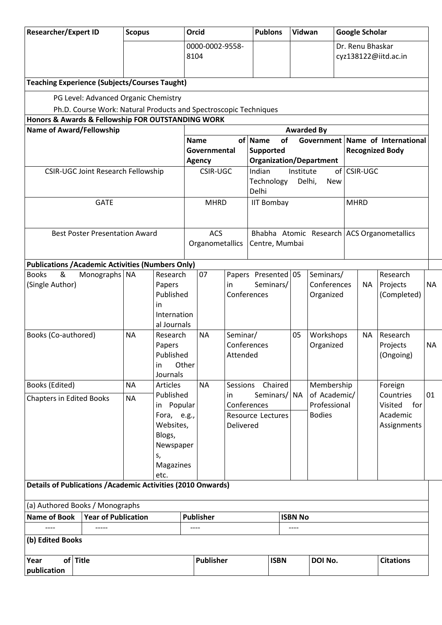| <b>Researcher/Expert ID</b><br><b>Scopus</b>                                                             |           |                                                                            |                                | Orcid<br><b>Publons</b>                                                        |                                                              |                                                 |             | Vidwan                                         |                                                 |                                | <b>Google Scholar</b>                    |                                     |                                   |           |
|----------------------------------------------------------------------------------------------------------|-----------|----------------------------------------------------------------------------|--------------------------------|--------------------------------------------------------------------------------|--------------------------------------------------------------|-------------------------------------------------|-------------|------------------------------------------------|-------------------------------------------------|--------------------------------|------------------------------------------|-------------------------------------|-----------------------------------|-----------|
|                                                                                                          |           |                                                                            |                                | 0000-0002-9558-<br>8104                                                        |                                                              |                                                 |             |                                                |                                                 |                                | Dr. Renu Bhaskar<br>cyz138122@iitd.ac.in |                                     |                                   |           |
| <b>Teaching Experience (Subjects/Courses Taught)</b>                                                     |           |                                                                            |                                |                                                                                |                                                              |                                                 |             |                                                |                                                 |                                |                                          |                                     |                                   |           |
| PG Level: Advanced Organic Chemistry<br>Ph.D. Course Work: Natural Products and Spectroscopic Techniques |           |                                                                            |                                |                                                                                |                                                              |                                                 |             |                                                |                                                 |                                |                                          |                                     |                                   |           |
| Honors & Awards & Fellowship FOR OUTSTANDING WORK                                                        |           |                                                                            |                                |                                                                                |                                                              |                                                 |             |                                                |                                                 |                                |                                          |                                     |                                   |           |
| <b>Name of Award/Fellowship</b>                                                                          |           |                                                                            |                                |                                                                                |                                                              |                                                 |             |                                                |                                                 | <b>Awarded By</b>              |                                          |                                     |                                   |           |
|                                                                                                          |           |                                                                            |                                | of<br>Government<br>of Name<br><b>Name</b><br>Governmental<br><b>Supported</b> |                                                              |                                                 |             |                                                | Name of International<br><b>Recognized Body</b> |                                |                                          |                                     |                                   |           |
| <b>CSIR-UGC Joint Research Fellowship</b>                                                                |           |                                                                            |                                | <b>Agency</b><br><b>CSIR-UGC</b>                                               |                                                              | Indian                                          |             |                                                | Institute                                       | <b>Organization/Department</b> |                                          |                                     |                                   |           |
|                                                                                                          |           |                                                                            |                                |                                                                                |                                                              | Technology<br>Delhi                             |             |                                                |                                                 | Delhi,<br>New                  | of CSIR-UGC                              |                                     |                                   |           |
| <b>GATE</b>                                                                                              |           |                                                                            |                                | <b>MHRD</b>                                                                    |                                                              | <b>IIT Bombay</b>                               |             |                                                |                                                 |                                | <b>MHRD</b>                              |                                     |                                   |           |
| <b>Best Poster Presentation Award</b>                                                                    |           | <b>ACS</b><br>Organometallics                                              |                                |                                                                                | Bhabha Atomic Research ACS Organometallics<br>Centre, Mumbai |                                                 |             |                                                |                                                 |                                |                                          |                                     |                                   |           |
| <b>Publications / Academic Activities (Numbers Only)</b>                                                 |           |                                                                            |                                |                                                                                |                                                              |                                                 |             |                                                |                                                 |                                |                                          |                                     |                                   |           |
| &<br><b>Books</b><br>Monographs NA<br>(Single Author)<br>in                                              |           | Research<br>Papers<br>Published<br>Internation<br>al Journals              | 07<br>in                       |                                                                                |                                                              | Papers Presented 05<br>Seminars/<br>Conferences |             |                                                | Seminars/<br>Conferences<br>Organized           | <b>NA</b>                      |                                          | Research<br>Projects<br>(Completed) | <b>NA</b>                         |           |
| Books (Co-authored)                                                                                      | <b>NA</b> | Research<br>Papers<br>Published<br>in<br>Journals                          | Other                          | <b>NA</b>                                                                      | Seminar/<br>Attended                                         | Conferences                                     |             |                                                | 05                                              | Workshops<br>Organized         |                                          | NA                                  | Research<br>Projects<br>(Ongoing) | <b>NA</b> |
| Books (Edited)                                                                                           | <b>NA</b> | <b>Articles</b>                                                            | <b>NA</b>                      |                                                                                | Sessions Chaired                                             |                                                 |             | Membership                                     |                                                 |                                | Foreign                                  |                                     |                                   |           |
| <b>Chapters in Edited Books</b>                                                                          | <b>NA</b> | Published<br>in Popular                                                    | in<br>Conferences              |                                                                                |                                                              |                                                 |             | of Academic/<br>Seminars/   NA<br>Professional |                                                 |                                |                                          |                                     | Countries<br>Visited<br>for       | 01        |
|                                                                                                          |           | Fora, e.g.,<br>Websites,<br>Blogs,<br>Newspaper<br>s,<br>Magazines<br>etc. | Resource Lectures<br>Delivered |                                                                                |                                                              |                                                 |             |                                                | <b>Bodies</b>                                   |                                |                                          | Academic<br>Assignments             |                                   |           |
| <b>Details of Publications / Academic Activities (2010 Onwards)</b>                                      |           |                                                                            |                                |                                                                                |                                                              |                                                 |             |                                                |                                                 |                                |                                          |                                     |                                   |           |
| (a) Authored Books / Monographs                                                                          |           |                                                                            |                                |                                                                                |                                                              |                                                 |             |                                                |                                                 |                                |                                          |                                     |                                   |           |
| <b>Name of Book</b><br><b>Year of Publication</b>                                                        |           |                                                                            |                                | <b>Publisher</b>                                                               |                                                              |                                                 |             |                                                | <b>ISBN No</b>                                  |                                |                                          |                                     |                                   |           |
|                                                                                                          |           |                                                                            |                                |                                                                                |                                                              |                                                 |             |                                                |                                                 |                                |                                          |                                     |                                   |           |
| (b) Edited Books                                                                                         |           |                                                                            |                                |                                                                                |                                                              |                                                 |             |                                                |                                                 |                                |                                          |                                     |                                   |           |
| of Title<br>Year<br>publication                                                                          |           |                                                                            |                                | Publisher                                                                      |                                                              |                                                 | <b>ISBN</b> |                                                |                                                 | DOI No.                        |                                          |                                     | <b>Citations</b>                  |           |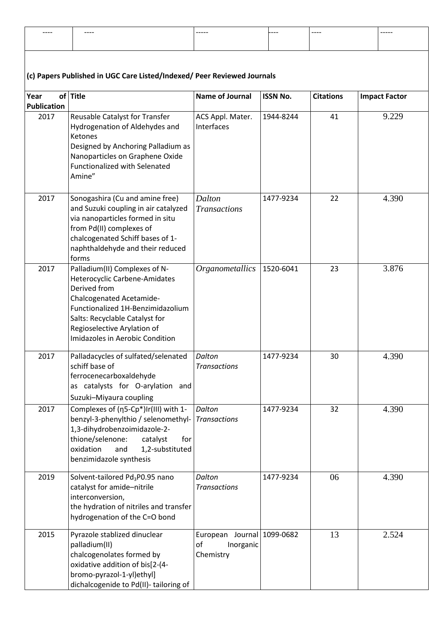| -----<br>---- | -----<br>---- | ______ | ----- | . | ------ |
|---------------|---------------|--------|-------|---|--------|
|               |               |        |       |   |        |
|               |               |        |       |   |        |

## **(c) Papers Published in UGC Care Listed/Indexed/ Peer Reviewed Journals**

| (C) Papers Published III OGC Care Listed/Indexed/ Peer Neviewed Journals |                                                                                                                                                                                                                                                            |                                                            |                 |                  |                      |  |  |  |  |  |  |
|--------------------------------------------------------------------------|------------------------------------------------------------------------------------------------------------------------------------------------------------------------------------------------------------------------------------------------------------|------------------------------------------------------------|-----------------|------------------|----------------------|--|--|--|--|--|--|
| Year                                                                     | of Title                                                                                                                                                                                                                                                   | <b>Name of Journal</b>                                     | <b>ISSN No.</b> | <b>Citations</b> | <b>Impact Factor</b> |  |  |  |  |  |  |
| <b>Publication</b><br>2017                                               | Reusable Catalyst for Transfer<br>Hydrogenation of Aldehydes and<br>Ketones<br>Designed by Anchoring Palladium as<br>Nanoparticles on Graphene Oxide<br><b>Functionalized with Selenated</b><br>Amine"                                                     | ACS Appl. Mater.<br>Interfaces                             | 1944-8244       | 41               | 9.229                |  |  |  |  |  |  |
| 2017                                                                     | Sonogashira (Cu and amine free)<br>and Suzuki coupling in air catalyzed<br>via nanoparticles formed in situ<br>from Pd(II) complexes of<br>chalcogenated Schiff bases of 1-<br>naphthaldehyde and their reduced<br>forms                                   | Dalton<br><b>Transactions</b>                              | 1477-9234       | 22               | 4.390                |  |  |  |  |  |  |
| 2017                                                                     | Palladium(II) Complexes of N-<br>Heterocyclic Carbene-Amidates<br>Derived from<br><b>Chalcogenated Acetamide-</b><br>Functionalized 1H-Benzimidazolium<br>Salts: Recyclable Catalyst for<br>Regioselective Arylation of<br>Imidazoles in Aerobic Condition | Organometallics                                            | 1520-6041       | 23               | 3.876                |  |  |  |  |  |  |
| 2017                                                                     | Palladacycles of sulfated/selenated<br>schiff base of<br>ferrocenecarboxaldehyde<br>as catalysts for O-arylation and<br>Suzuki-Miyaura coupling                                                                                                            | Dalton<br><b>Transactions</b>                              | 1477-9234       | 30               | 4.390                |  |  |  |  |  |  |
| 2017                                                                     | Complexes of (n5-Cp*)Ir(III) with 1-<br>benzyl-3-phenylthio / selenomethyl-<br>1,3-dihydrobenzoimidazole-2-<br>thione/selenone:<br>catalyst<br>for<br>oxidation<br>1,2-substituted<br>and<br>benzimidazole synthesis                                       | Dalton<br><b>Transactions</b>                              | 1477-9234       | 32               | 4.390                |  |  |  |  |  |  |
| 2019                                                                     | Solvent-tailored Pd <sub>3</sub> P0.95 nano<br>catalyst for amide-nitrile<br>interconversion,<br>the hydration of nitriles and transfer<br>hydrogenation of the C=O bond                                                                                   | Dalton<br><b>Transactions</b>                              | 1477-9234       | 06               | 4.390                |  |  |  |  |  |  |
| 2015                                                                     | Pyrazole stablized dinuclear<br>palladium(II)<br>chalcogenolates formed by<br>oxidative addition of bis[2-(4-<br>bromo-pyrazol-1-yl)ethyl]<br>dichalcogenide to Pd(II)- tailoring of                                                                       | European Journal 1099-0682<br>of<br>Inorganic<br>Chemistry |                 | 13               | 2.524                |  |  |  |  |  |  |